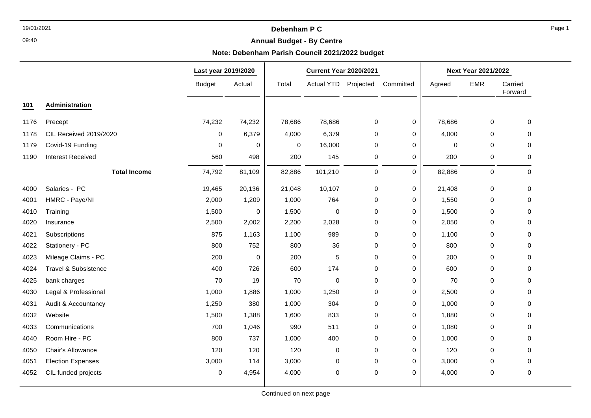## 19/01/2021 **Debenham P C**

## **Annual Budget - By Centre**

## **Note: Debenham Parish Council 2021/2022 budget**

|                                 |               |        | <b>Current Year 2020/2021</b> |           |           | <b>Next Year 2021/2022</b> |                                                                                                                    |             |                    |
|---------------------------------|---------------|--------|-------------------------------|-----------|-----------|----------------------------|--------------------------------------------------------------------------------------------------------------------|-------------|--------------------|
|                                 | <b>Budget</b> | Actual | Total                         |           |           | Committed                  | Agreed                                                                                                             | <b>EMR</b>  | Carried<br>Forward |
| Administration                  |               |        |                               |           |           |                            |                                                                                                                    |             |                    |
| Precept                         | 74,232        | 74,232 | 78,686                        | 78,686    |           | 0                          | 78,686                                                                                                             | 0           | $\mathbf 0$        |
| CIL Received 2019/2020          | 0             | 6,379  | 4,000                         | 6,379     |           | 0                          | 4,000                                                                                                              | 0           | 0                  |
| Covid-19 Funding                | $\mathbf 0$   | 0      | 0                             | 16,000    |           | 0                          | $\mathbf 0$                                                                                                        | $\mathbf 0$ | 0                  |
| <b>Interest Received</b>        | 560           | 498    | 200                           | 145       |           | 0                          | 200                                                                                                                | 0           | 0                  |
| <b>Total Income</b>             | 74,792        | 81,109 | 82,886                        | 101,210   |           | $\Omega$                   | 82,886                                                                                                             | $\mathbf 0$ | $\mathbf 0$        |
| Salaries - PC                   | 19,465        | 20,136 | 21,048                        | 10,107    |           | 0                          | 21,408                                                                                                             | $\mathbf 0$ | $\mathbf 0$        |
| HMRC - Paye/NI                  | 2,000         | 1,209  | 1,000                         | 764       |           | 0                          | 1,550                                                                                                              | 0           | 0                  |
| Training                        | 1,500         | 0      | 1,500                         | 0         | 0         | 0                          | 1,500                                                                                                              | 0           | 0                  |
| Insurance                       | 2,500         | 2,002  | 2,200                         | 2,028     |           | 0                          | 2,050                                                                                                              | $\mathbf 0$ | $\Omega$           |
| Subscriptions                   | 875           | 1,163  | 1,100                         | 989       |           | 0                          | 1,100                                                                                                              | $\Omega$    | 0                  |
| Stationery - PC                 | 800           | 752    | 800                           | 36        | 0         | 0                          | 800                                                                                                                | 0           | $\mathbf 0$        |
| Mileage Claims - PC             | 200           | 0      | 200                           | 5         |           | 0                          | 200                                                                                                                | $\mathbf 0$ | $\Omega$           |
| <b>Travel &amp; Subsistence</b> | 400           | 726    | 600                           | 174       |           | 0                          | 600                                                                                                                | $\Omega$    | 0                  |
| bank charges                    | 70            | 19     | 70                            | $\pmb{0}$ | 0         | 0                          | 70                                                                                                                 | 0           | 0                  |
| Legal & Professional            | 1,000         | 1,886  | 1,000                         | 1,250     |           | 0                          | 2,500                                                                                                              | $\mathbf 0$ | $\Omega$           |
| Audit & Accountancy             | 1,250         | 380    | 1,000                         | 304       |           | 0                          | 1,000                                                                                                              | $\mathbf 0$ | 0                  |
| Website                         | 1,500         | 1,388  | 1,600                         | 833       | 0         | 0                          | 1,880                                                                                                              | $\mathbf 0$ | $\mathbf 0$        |
| Communications                  | 700           | 1,046  | 990                           | 511       |           | $\pmb{0}$                  | 1,080                                                                                                              | 0           | $\mathbf 0$        |
| Room Hire - PC                  | 800           | 737    | 1,000                         | 400       |           | 0                          | 1,000                                                                                                              | $\mathbf 0$ | 0                  |
| Chair's Allowance               | 120           | 120    | 120                           | 0         |           | 0                          | 120                                                                                                                | 0           | 0                  |
| <b>Election Expenses</b>        | 3,000         | 114    | 3,000                         | 0         | $\pmb{0}$ | 0                          | 3,000                                                                                                              | 0           | 0                  |
| CIL funded projects             | $\pmb{0}$     | 4,954  | 4,000                         | 0         | $\pmb{0}$ | 0                          | 4,000                                                                                                              | 0           | $\pmb{0}$          |
|                                 |               |        | Last year 2019/2020           |           |           | Actual YTD Projected       | 0<br>0<br>0<br>0<br>$\mathbf 0$<br>$\pmb{0}$<br>0<br>0<br>0<br>$\mathbf 0$<br>0<br>0<br>0<br>0<br>$\mathbf 0$<br>0 |             |                    |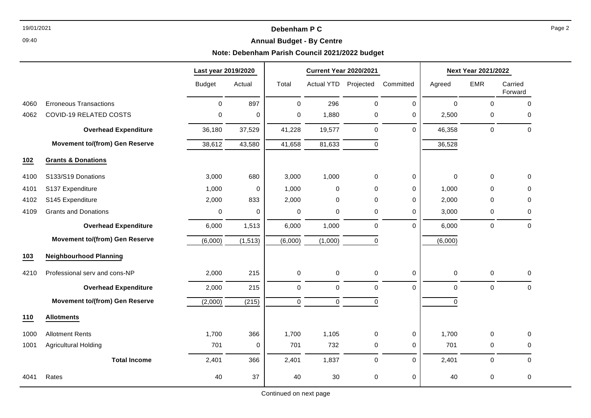## 19/01/2021 **Debenham P C**

## **Annual Budget - By Centre**

## **Note: Debenham Parish Council 2021/2022 budget**

|      |                                       | Last year 2019/2020 |          | <b>Current Year 2020/2021</b> |                   |             |             | <b>Next Year 2021/2022</b> |                     |                    |
|------|---------------------------------------|---------------------|----------|-------------------------------|-------------------|-------------|-------------|----------------------------|---------------------|--------------------|
|      |                                       | <b>Budget</b>       | Actual   | Total                         | <b>Actual YTD</b> | Projected   | Committed   | Agreed                     | <b>EMR</b>          | Carried<br>Forward |
| 4060 | <b>Erroneous Transactions</b>         | $\pmb{0}$           | 897      | $\mathbf 0$                   | 296               | $\mathbf 0$ | $\mathbf 0$ | $\mathbf 0$                | $\mathsf{O}\xspace$ | $\mathbf 0$        |
| 4062 | <b>COVID-19 RELATED COSTS</b>         | 0                   | 0        | $\mathbf 0$                   | 1,880             | 0           | $\mathbf 0$ | 2,500                      | 0                   | $\mathbf 0$        |
|      | <b>Overhead Expenditure</b>           | 36,180              | 37,529   | 41,228                        | 19,577            | $\mathbf 0$ | $\mathbf 0$ | 46,358                     | 0                   | $\mathbf 0$        |
|      | <b>Movement to/(from) Gen Reserve</b> | 38,612              | 43,580   | 41,658                        | 81,633            | $\mathbf 0$ |             | 36,528                     |                     |                    |
| 102  | <b>Grants &amp; Donations</b>         |                     |          |                               |                   |             |             |                            |                     |                    |
| 4100 | S133/S19 Donations                    | 3,000               | 680      | 3,000                         | 1,000             | 0           | 0           | $\mathbf 0$                | 0                   | 0                  |
| 4101 | S137 Expenditure                      | 1,000               | 0        | 1,000                         | 0                 | 0           | 0           | 1,000                      | 0                   | $\Omega$           |
| 4102 | S145 Expenditure                      | 2,000               | 833      | 2,000                         | 0                 | $\mathbf 0$ | $\mathbf 0$ | 2,000                      | 0                   | $\mathbf 0$        |
| 4109 | <b>Grants and Donations</b>           | 0                   | 0        | 0                             | 0                 | 0           | 0           | 3,000                      | 0                   | 0                  |
|      | <b>Overhead Expenditure</b>           | 6,000               | 1,513    | 6,000                         | 1,000             | $\mathbf 0$ | $\Omega$    | 6,000                      | 0                   | $\mathbf 0$        |
|      | <b>Movement to/(from) Gen Reserve</b> | (6,000)             | (1, 513) | (6,000)                       | (1,000)           | 0           |             | (6,000)                    |                     |                    |
| 103  | <b>Neighbourhood Planning</b>         |                     |          |                               |                   |             |             |                            |                     |                    |
| 4210 | Professional serv and cons-NP         | 2,000               | 215      | 0                             | 0                 | $\mathbf 0$ | $\mathbf 0$ | $\mathbf 0$                | 0                   | $\mathbf 0$        |
|      | <b>Overhead Expenditure</b>           | 2,000               | 215      | $\mathbf 0$                   | $\mathbf 0$       | $\mathbf 0$ | $\mathbf 0$ | $\mathbf 0$                | 0                   | $\mathbf 0$        |
|      | <b>Movement to/(from) Gen Reserve</b> | (2,000)             | (215)    | $\mathbf 0$                   | $\mathbf 0$       | $\mathbf 0$ |             | $\Omega$                   |                     |                    |
| 110  | <b>Allotments</b>                     |                     |          |                               |                   |             |             |                            |                     |                    |
| 1000 | <b>Allotment Rents</b>                | 1,700               | 366      | 1,700                         | 1,105             | $\pmb{0}$   | 0           | 1,700                      | 0                   | $\mathbf 0$        |
| 1001 | <b>Agricultural Holding</b>           | 701                 | 0        | 701                           | 732               | 0           | 0           | 701                        | 0                   | 0                  |
|      | <b>Total Income</b>                   | 2,401               | 366      | 2,401                         | 1,837             | $\pmb{0}$   | $\mathbf 0$ | 2,401                      | 0                   | $\mathbf 0$        |
| 4041 | Rates                                 | 40                  | 37       | 40                            | 30                | 0           | 0           | 40                         | 0                   | $\mathbf 0$        |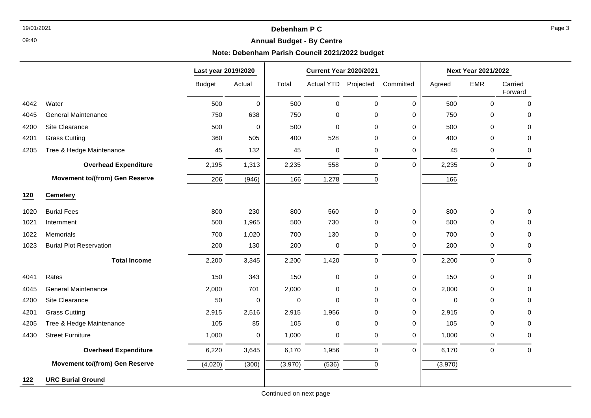## 19/01/2021 **Debenham P C**

## **Annual Budget - By Centre**

## **Note: Debenham Parish Council 2021/2022 budget**

|      |                                       | Last year 2019/2020 |             | <b>Current Year 2020/2021</b> |                      |             |             | Next Year 2021/2022 |             |                    |
|------|---------------------------------------|---------------------|-------------|-------------------------------|----------------------|-------------|-------------|---------------------|-------------|--------------------|
|      |                                       | <b>Budget</b>       | Actual      | Total                         | Actual YTD Projected |             | Committed   | Agreed              | <b>EMR</b>  | Carried<br>Forward |
| 4042 | Water                                 | 500                 | $\mathbf 0$ | 500                           | $\pmb{0}$            | $\pmb{0}$   | $\Omega$    | 500                 | $\mathbf 0$ | 0                  |
| 4045 | <b>General Maintenance</b>            | 750                 | 638         | 750                           | 0                    | 0           | $\Omega$    | 750                 | 0           | 0                  |
| 4200 | Site Clearance                        | 500                 | $\mathbf 0$ | 500                           | $\mathbf 0$          | $\Omega$    | 0           | 500                 | $\mathbf 0$ | 0                  |
| 4201 | <b>Grass Cutting</b>                  | 360                 | 505         | 400                           | 528                  | 0           | 0           | 400                 | 0           | 0                  |
| 4205 | Tree & Hedge Maintenance              | 45                  | 132         | 45                            | $\pmb{0}$            | $\pmb{0}$   | 0           | 45                  | 0           | 0                  |
|      | <b>Overhead Expenditure</b>           | 2,195               | 1,313       | 2,235                         | 558                  | $\pmb{0}$   | $\mathbf 0$ | 2,235               | $\mathbf 0$ | 0                  |
|      | <b>Movement to/(from) Gen Reserve</b> | 206                 | (946)       | 166                           | 1,278                | $\mathbf 0$ |             | 166                 |             |                    |
| 120  | <b>Cemetery</b>                       |                     |             |                               |                      |             |             |                     |             |                    |
| 1020 | <b>Burial Fees</b>                    | 800                 | 230         | 800                           | 560                  | 0           | 0           | 800                 | 0           | 0                  |
| 1021 | Internment                            | 500                 | 1,965       | 500                           | 730                  | $\Omega$    | $\mathbf 0$ | 500                 | 0           | 0                  |
| 1022 | Memorials                             | 700                 | 1,020       | 700                           | 130                  | 0           | 0           | 700                 | 0           | 0                  |
| 1023 | <b>Burial Plot Reservation</b>        | 200                 | 130         | 200                           | $\pmb{0}$            | 0           | 0           | 200                 | 0           | 0                  |
|      | <b>Total Income</b>                   | 2,200               | 3,345       | 2,200                         | 1,420                | $\mathbf 0$ | $\Omega$    | 2,200               | $\mathbf 0$ | 0                  |
| 4041 | Rates                                 | 150                 | 343         | 150                           | $\pmb{0}$            | $\pmb{0}$   | 0           | 150                 | $\pmb{0}$   | 0                  |
| 4045 | <b>General Maintenance</b>            | 2,000               | 701         | 2,000                         | $\pmb{0}$            | $\mathbf 0$ | $\mathbf 0$ | 2,000               | 0           | 0                  |
| 4200 | Site Clearance                        | 50                  | 0           | 0                             | $\mathbf 0$          | 0           | 0           | $\mathbf 0$         | 0           | 0                  |
| 4201 | <b>Grass Cutting</b>                  | 2,915               | 2,516       | 2,915                         | 1,956                | 0           | 0           | 2,915               | 0           | 0                  |
| 4205 | Tree & Hedge Maintenance              | 105                 | 85          | 105                           | $\pmb{0}$            | $\mathbf 0$ | 0           | 105                 | 0           | 0                  |
| 4430 | <b>Street Furniture</b>               | 1,000               | 0           | 1,000                         | 0                    | 0           | 0           | 1,000               | 0           | 0                  |
|      | <b>Overhead Expenditure</b>           | 6,220               | 3,645       | 6,170                         | 1,956                | $\pmb{0}$   | $\Omega$    | 6,170               | $\mathbf 0$ | $\mathbf 0$        |
|      | <b>Movement to/(from) Gen Reserve</b> | (4,020)             | (300)       | (3,970)                       | (536)                | $\pmb{0}$   |             | (3,970)             |             |                    |
| 122  | <b>URC Burial Ground</b>              |                     |             |                               |                      |             |             |                     |             |                    |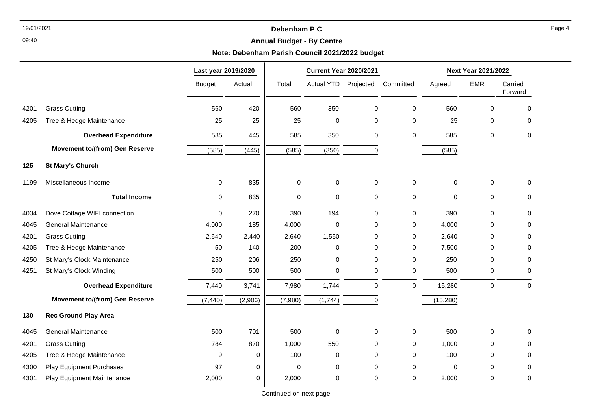## 19/01/2021 **Debenham P C**

#### 09:40

## **Annual Budget - By Centre**

## **Note: Debenham Parish Council 2021/2022 budget**

|      |                                       | Last year 2019/2020 |         | <b>Current Year 2020/2021</b> |             |             |             | <b>Next Year 2021/2022</b> |             |                    |
|------|---------------------------------------|---------------------|---------|-------------------------------|-------------|-------------|-------------|----------------------------|-------------|--------------------|
|      |                                       | <b>Budget</b>       | Actual  | Total                         | Actual YTD  | Projected   | Committed   | Agreed                     | <b>EMR</b>  | Carried<br>Forward |
| 4201 | <b>Grass Cutting</b>                  | 560                 | 420     | 560                           | 350         | $\pmb{0}$   | $\mathbf 0$ | 560                        | $\mathbf 0$ | $\mathbf 0$        |
| 4205 | Tree & Hedge Maintenance              | 25                  | 25      | 25                            | $\pmb{0}$   | $\pmb{0}$   | $\mathbf 0$ | 25                         | 0           | 0                  |
|      | <b>Overhead Expenditure</b>           | 585                 | 445     | 585                           | 350         | $\mathbf 0$ | $\Omega$    | 585                        | $\mathbf 0$ | $\mathbf 0$        |
|      | <b>Movement to/(from) Gen Reserve</b> | (585)               | (445)   | (585)                         | (350)       | $\mathbf 0$ |             | (585)                      |             |                    |
| 125  | <b>St Mary's Church</b>               |                     |         |                               |             |             |             |                            |             |                    |
| 1199 | Miscellaneous Income                  | 0                   | 835     | 0                             | $\pmb{0}$   | $\pmb{0}$   | $\mathbf 0$ | $\mathbf 0$                | $\pmb{0}$   | $\mathbf 0$        |
|      | <b>Total Income</b>                   | $\mathbf 0$         | 835     | 0                             | $\mathbf 0$ | $\mathbf 0$ | $\mathbf 0$ | $\mathbf 0$                | $\mathbf 0$ | 0                  |
| 4034 | Dove Cottage WIFI connection          | $\mathbf 0$         | 270     | 390                           | 194         | $\mathbf 0$ | $\mathbf 0$ | 390                        | $\mathbf 0$ | $\mathbf 0$        |
| 4045 | <b>General Maintenance</b>            | 4,000               | 185     | 4,000                         | $\pmb{0}$   | 0           | $\mathbf 0$ | 4,000                      | 0           | 0                  |
| 4201 | <b>Grass Cutting</b>                  | 2,640               | 2,440   | 2,640                         | 1,550       | $\Omega$    | 0           | 2,640                      | $\Omega$    | 0                  |
| 4205 | Tree & Hedge Maintenance              | 50                  | 140     | 200                           | $\pmb{0}$   | $\Omega$    | 0           | 7,500                      | $\Omega$    | 0                  |
| 4250 | St Mary's Clock Maintenance           | 250                 | 206     | 250                           | $\mathbf 0$ | $\mathbf 0$ | $\mathbf 0$ | 250                        | $\Omega$    | 0                  |
| 4251 | St Mary's Clock Winding               | 500                 | 500     | 500                           | $\pmb{0}$   | $\pmb{0}$   | 0           | 500                        | 0           | 0                  |
|      | <b>Overhead Expenditure</b>           | 7,440               | 3,741   | 7,980                         | 1,744       | $\mathbf 0$ | $\Omega$    | 15,280                     | $\mathbf 0$ | $\Omega$           |
|      | <b>Movement to/(from) Gen Reserve</b> | (7, 440)            | (2,906) | (7,980)                       | (1,744)     | $\mathbf 0$ |             | (15, 280)                  |             |                    |
| 130  | <b>Rec Ground Play Area</b>           |                     |         |                               |             |             |             |                            |             |                    |
| 4045 | <b>General Maintenance</b>            | 500                 | 701     | 500                           | $\pmb{0}$   | $\pmb{0}$   | $\pmb{0}$   | 500                        | 0           | $\mathsf 0$        |
| 4201 | <b>Grass Cutting</b>                  | 784                 | 870     | 1,000                         | 550         | $\mathbf 0$ | 0           | 1,000                      | $\Omega$    | 0                  |
| 4205 | Tree & Hedge Maintenance              | 9                   | 0       | 100                           | 0           | 0           | 0           | 100                        | $\Omega$    | 0                  |
| 4300 | Play Equipment Purchases              | 97                  | 0       | 0                             | $\pmb{0}$   | $\mathbf 0$ | 0           | $\mathbf 0$                | 0           | 0                  |
| 4301 | Play Equipment Maintenance            | 2,000               | 0       | 2,000                         | $\pmb{0}$   | 0           | 0           | 2,000                      | 0           | 0                  |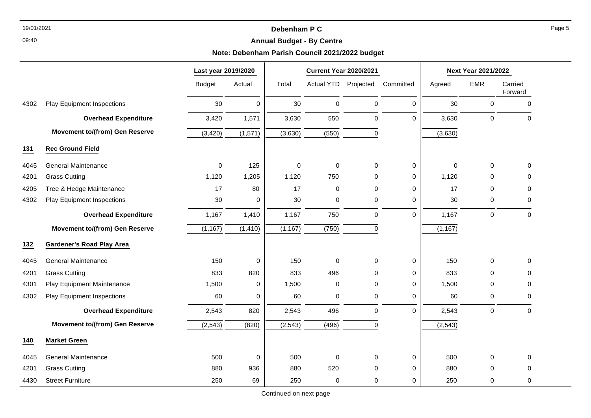## 19/01/2021 **Debenham P C**

## **Annual Budget - By Centre**

## **Note: Debenham Parish Council 2021/2022 budget**

|      |                                       | Last year 2019/2020 |                  | <b>Current Year 2020/2021</b> |                   |              | <b>Next Year 2021/2022</b> |          |                     |                    |
|------|---------------------------------------|---------------------|------------------|-------------------------------|-------------------|--------------|----------------------------|----------|---------------------|--------------------|
|      |                                       | <b>Budget</b>       | Actual           | Total                         | <b>Actual YTD</b> | Projected    | Committed                  | Agreed   | <b>EMR</b>          | Carried<br>Forward |
| 4302 | <b>Play Equipment Inspections</b>     | 30                  | $\mathbf 0$      | 30                            | 0                 | $\pmb{0}$    | 0                          | 30       | 0                   | $\pmb{0}$          |
|      | <b>Overhead Expenditure</b>           | 3,420               | 1,571            | 3,630                         | 550               | $\pmb{0}$    | 0                          | 3,630    | $\mathsf{O}\xspace$ | $\mathbf 0$        |
|      | <b>Movement to/(from) Gen Reserve</b> | (3, 420)            | (1,571)          | (3,630)                       | (550)             | $\mathbf 0$  |                            | (3,630)  |                     |                    |
| 131  | <b>Rec Ground Field</b>               |                     |                  |                               |                   |              |                            |          |                     |                    |
| 4045 | <b>General Maintenance</b>            | $\Omega$            | 125              | $\Omega$                      | 0                 | $\mathbf{0}$ | 0                          | $\Omega$ | $\mathbf 0$         | 0                  |
| 4201 | <b>Grass Cutting</b>                  | 1,120               | 1,205            | 1,120                         | 750               | $\mathbf 0$  | 0                          | 1,120    | 0                   | 0                  |
| 4205 | Tree & Hedge Maintenance              | 17                  | 80               | 17                            | 0                 | $\mathbf 0$  | 0                          | 17       | 0                   | $\mathbf 0$        |
| 4302 | <b>Play Equipment Inspections</b>     | 30                  | $\mathbf 0$      | 30                            | 0                 | 0            | 0                          | 30       | 0                   | 0                  |
|      | <b>Overhead Expenditure</b>           | 1,167               | 1,410            | 1,167                         | 750               | $\mathbf 0$  | $\Omega$                   | 1,167    | $\mathbf 0$         | $\mathbf 0$        |
|      | <b>Movement to/(from) Gen Reserve</b> | (1, 167)            | (1, 410)         | (1, 167)                      | (750)             | $\pmb{0}$    |                            | (1, 167) |                     |                    |
| 132  | <b>Gardener's Road Play Area</b>      |                     |                  |                               |                   |              |                            |          |                     |                    |
| 4045 | <b>General Maintenance</b>            | 150                 | $\boldsymbol{0}$ | 150                           | 0                 | $\mathbf 0$  | 0                          | 150      | 0                   | $\mathbf 0$        |
| 4201 | <b>Grass Cutting</b>                  | 833                 | 820              | 833                           | 496               | $\mathbf 0$  | 0                          | 833      | $\mathbf 0$         | $\mathbf 0$        |
| 4301 | Play Equipment Maintenance            | 1,500               | $\mathbf 0$      | 1,500                         | 0                 | $\mathbf 0$  | 0                          | 1,500    | 0                   | $\mathbf 0$        |
| 4302 | <b>Play Equipment Inspections</b>     | 60                  | $\mathbf 0$      | 60                            | 0                 | $\mathbf 0$  | 0                          | 60       | $\pmb{0}$           | $\mathbf 0$        |
|      | <b>Overhead Expenditure</b>           | 2,543               | 820              | 2,543                         | 496               | $\mathbf 0$  | $\Omega$                   | 2,543    | $\mathbf 0$         | $\mathbf 0$        |
|      | <b>Movement to/(from) Gen Reserve</b> | (2, 543)            | (820)            | (2, 543)                      | (496)             | $\mathbf 0$  |                            | (2, 543) |                     |                    |
| 140  | <b>Market Green</b>                   |                     |                  |                               |                   |              |                            |          |                     |                    |
| 4045 | <b>General Maintenance</b>            | 500                 | $\mathbf 0$      | 500                           | $\mathbf 0$       | $\mathbf 0$  | 0                          | 500      | 0                   | $\mathbf 0$        |
| 4201 | <b>Grass Cutting</b>                  | 880                 | 936              | 880                           | 520               | $\mathbf 0$  | 0                          | 880      | 0                   | 0                  |
| 4430 | <b>Street Furniture</b>               | 250                 | 69               | 250                           | 0                 | 0            | 0                          | 250      | 0                   | 0                  |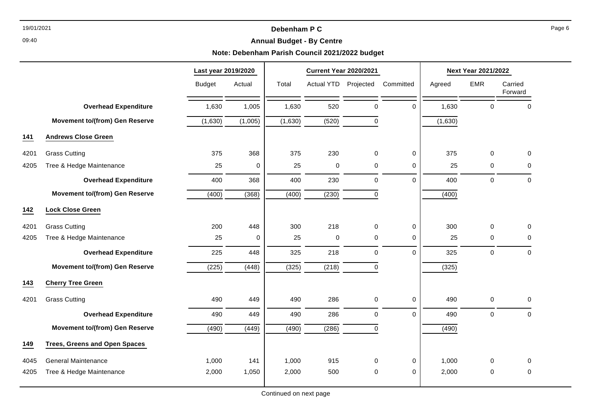## 19/01/2021 **Debenham P C**

## **Annual Budget - By Centre**

## **Note: Debenham Parish Council 2021/2022 budget**

|      |                                       | Last year 2019/2020 |          |                    | <b>Current Year 2020/2021</b> |             |             | <b>Next Year 2021/2022</b> |             |                    |  |
|------|---------------------------------------|---------------------|----------|--------------------|-------------------------------|-------------|-------------|----------------------------|-------------|--------------------|--|
|      |                                       | <b>Budget</b>       | Actual   | Total              | <b>Actual YTD</b>             | Projected   | Committed   | Agreed                     | <b>EMR</b>  | Carried<br>Forward |  |
|      | <b>Overhead Expenditure</b>           | 1,630               | 1,005    | 1,630              | 520                           | $\pmb{0}$   | $\Omega$    | 1,630                      | $\mathbf 0$ | $\Omega$           |  |
|      | <b>Movement to/(from) Gen Reserve</b> | (1,630)             | (1,005)  | (1,630)            | (520)                         | $\mathbf 0$ |             | (1,630)                    |             |                    |  |
| 141  | <b>Andrews Close Green</b>            |                     |          |                    |                               |             |             |                            |             |                    |  |
| 4201 | <b>Grass Cutting</b>                  | 375                 | 368      | 375                | 230                           | 0           | $\mathbf 0$ | 375                        | $\Omega$    | $\Omega$           |  |
| 4205 | Tree & Hedge Maintenance              | 25                  | $\Omega$ | 25                 | $\Omega$                      | 0           | $\mathbf 0$ | 25                         | $\Omega$    | 0                  |  |
|      | <b>Overhead Expenditure</b>           | 400                 | 368      | 400                | 230                           | $\pmb{0}$   | $\mathbf 0$ | 400                        | $\mathbf 0$ | $\mathbf 0$        |  |
|      | <b>Movement to/(from) Gen Reserve</b> | (400)               | (368)    | (400)              | (230)                         | 0           |             | (400)                      |             |                    |  |
| 142  | <b>Lock Close Green</b>               |                     |          |                    |                               |             |             |                            |             |                    |  |
| 4201 | <b>Grass Cutting</b>                  | 200                 | 448      | 300                | 218                           | 0           | $\mathbf 0$ | 300                        | $\mathbf 0$ | $\mathbf 0$        |  |
| 4205 | Tree & Hedge Maintenance              | 25                  | 0        | 25                 | $\mathbf 0$                   | 0           | $\mathbf 0$ | 25                         | 0           | 0                  |  |
|      | <b>Overhead Expenditure</b>           | 225                 | 448      | 325                | 218                           | $\mathbf 0$ | $\mathbf 0$ | 325                        | $\mathbf 0$ | 0                  |  |
|      | <b>Movement to/(from) Gen Reserve</b> | (225)               | (448)    | (325)              | (218)                         | 0           |             | (325)                      |             |                    |  |
| 143  | <b>Cherry Tree Green</b>              |                     |          |                    |                               |             |             |                            |             |                    |  |
| 4201 | <b>Grass Cutting</b>                  | 490                 | 449      | 490                | 286                           | 0           | 0           | 490                        | 0           | 0                  |  |
|      | <b>Overhead Expenditure</b>           | 490                 | 449      | 490                | 286                           | 0           | $\Omega$    | 490                        | $\mathbf 0$ | $\mathbf 0$        |  |
|      | <b>Movement to/(from) Gen Reserve</b> | (490)               | (449)    | $\overline{(490)}$ | (286)                         | $\mathbf 0$ |             | (490)                      |             |                    |  |
| 149  | <b>Trees, Greens and Open Spaces</b>  |                     |          |                    |                               |             |             |                            |             |                    |  |
| 4045 | <b>General Maintenance</b>            | 1,000               | 141      | 1,000              | 915                           | 0           | $\mathbf 0$ | 1,000                      | $\Omega$    | $\Omega$           |  |
| 4205 | Tree & Hedge Maintenance              | 2,000               | 1,050    | 2,000              | 500                           | 0           | $\Omega$    | 2,000                      | 0           | 0                  |  |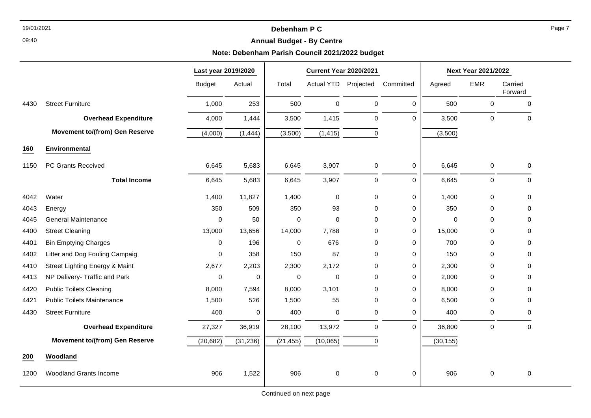## 19/01/2021 **Debenham P C**

## **Annual Budget - By Centre**

## **Note: Debenham Parish Council 2021/2022 budget**

|      |                                       | Last year 2019/2020 |           | <b>Current Year 2020/2021</b> |                   |              | <b>Next Year 2021/2022</b> |             |             |                    |
|------|---------------------------------------|---------------------|-----------|-------------------------------|-------------------|--------------|----------------------------|-------------|-------------|--------------------|
|      |                                       | <b>Budget</b>       | Actual    | Total                         | <b>Actual YTD</b> | Projected    | Committed                  | Agreed      | <b>EMR</b>  | Carried<br>Forward |
| 4430 | <b>Street Furniture</b>               | 1,000               | 253       | 500                           | 0                 | $\mathbf 0$  | 0                          | 500         | 0           | 0                  |
|      | <b>Overhead Expenditure</b>           | 4,000               | 1,444     | 3,500                         | 1,415             | $\mathbf 0$  | $\Omega$                   | 3,500       | 0           | 0                  |
|      | <b>Movement to/(from) Gen Reserve</b> | (4,000)             | (1, 444)  | (3,500)                       | (1, 415)          | $\pmb{0}$    |                            | (3,500)     |             |                    |
| 160  | Environmental                         |                     |           |                               |                   |              |                            |             |             |                    |
| 1150 | PC Grants Received                    | 6,645               | 5,683     | 6,645                         | 3,907             | $\pmb{0}$    | 0                          | 6,645       | 0           | 0                  |
|      | <b>Total Income</b>                   | 6,645               | 5,683     | 6,645                         | 3,907             | $\pmb{0}$    | $\Omega$                   | 6,645       | $\pmb{0}$   | 0                  |
| 4042 | Water                                 | 1,400               | 11,827    | 1,400                         | $\pmb{0}$         | $\pmb{0}$    | 0                          | 1,400       | $\pmb{0}$   | 0                  |
| 4043 | Energy                                | 350                 | 509       | 350                           | 93                | $\Omega$     | $\Omega$                   | 350         | 0           | 0                  |
| 4045 | <b>General Maintenance</b>            | 0                   | 50        | 0                             | 0                 | 0            | 0                          | $\mathbf 0$ | 0           | 0                  |
| 4400 | <b>Street Cleaning</b>                | 13,000              | 13,656    | 14,000                        | 7,788             | 0            | 0                          | 15,000      | 0           | 0                  |
| 4401 | <b>Bin Emptying Charges</b>           | 0                   | 196       | 0                             | 676               | 0            | 0                          | 700         | 0           | 0                  |
| 4402 | Litter and Dog Fouling Campaig        | 0                   | 358       | 150                           | 87                | $\Omega$     | $\Omega$                   | 150         | 0           | 0                  |
| 4410 | Street Lighting Energy & Maint        | 2,677               | 2,203     | 2,300                         | 2,172             | 0            | 0                          | 2,300       | 0           | 0                  |
| 4413 | NP Delivery- Traffic and Park         | $\mathbf 0$         | 0         | 0                             | $\mathbf 0$       | $\Omega$     | $\Omega$                   | 2,000       | 0           | 0                  |
| 4420 | <b>Public Toilets Cleaning</b>        | 8,000               | 7,594     | 8,000                         | 3,101             | $\Omega$     | 0                          | 8,000       | 0           | 0                  |
| 4421 | <b>Public Toilets Maintenance</b>     | 1,500               | 526       | 1,500                         | 55                | 0            | 0                          | 6,500       | 0           | 0                  |
| 4430 | <b>Street Furniture</b>               | 400                 | 0         | 400                           | $\mathbf 0$       | 0            | $\mathbf 0$                | 400         | 0           | 0                  |
|      | <b>Overhead Expenditure</b>           | 27,327              | 36,919    | 28,100                        | 13,972            | $\mathbf 0$  | $\Omega$                   | 36,800      | $\mathbf 0$ | 0                  |
|      | <b>Movement to/(from) Gen Reserve</b> | (20, 682)           | (31, 236) | (21, 455)                     | (10,065)          | $\mathbf{0}$ |                            | (30, 155)   |             |                    |
| 200  | Woodland                              |                     |           |                               |                   |              |                            |             |             |                    |
| 1200 | <b>Woodland Grants Income</b>         | 906                 | 1,522     | 906                           | 0                 | 0            | 0                          | 906         | 0           | $\mathbf 0$        |